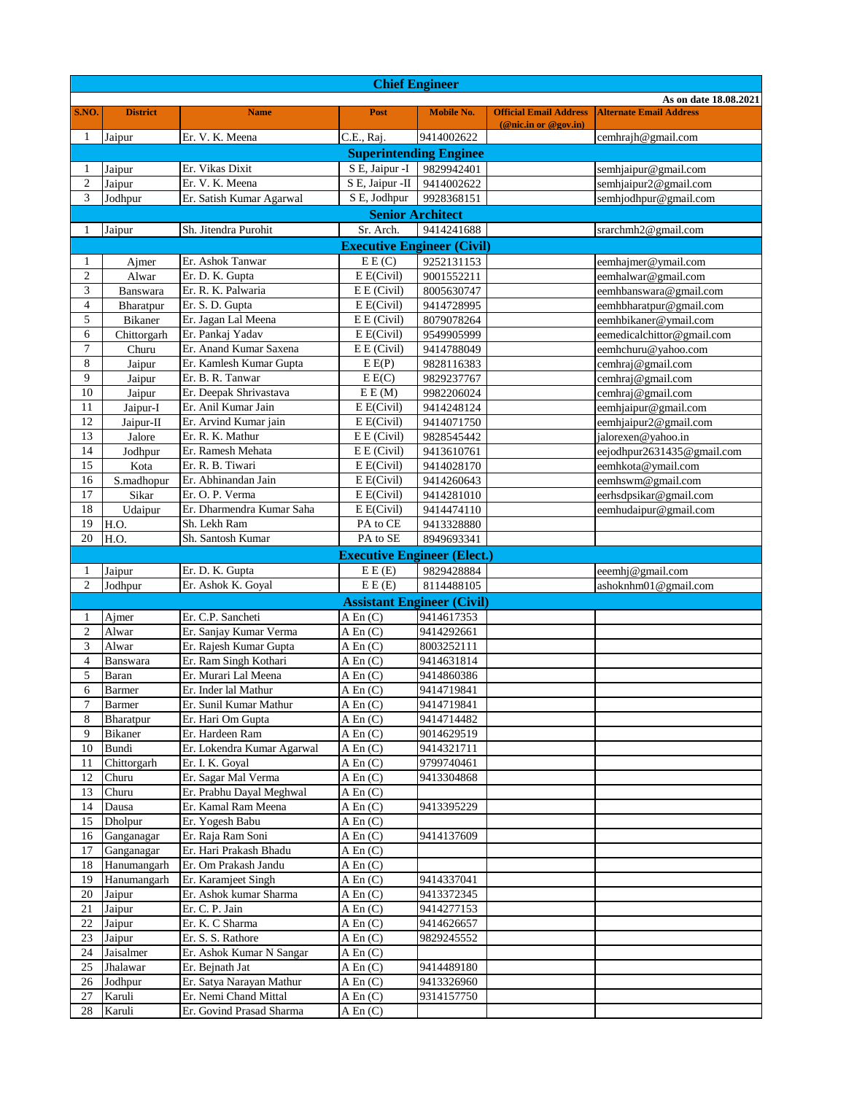| <b>Chief Engineer</b> |                  |                                                   |                                                      |                         |                               |                                |  |  |  |
|-----------------------|------------------|---------------------------------------------------|------------------------------------------------------|-------------------------|-------------------------------|--------------------------------|--|--|--|
| As on date 18.08.2021 |                  |                                                   |                                                      |                         |                               |                                |  |  |  |
| S.NO.                 | <b>District</b>  | <b>Name</b>                                       | Post                                                 | <b>Mobile No.</b>       | <b>Official Email Address</b> | <b>Alternate Email Address</b> |  |  |  |
| 1                     | Jaipur           | Er. V. K. Meena                                   | C.E., Raj.                                           | 9414002622              | (@nic.in or @gov.in)          | cemhrajh@gmail.com             |  |  |  |
|                       |                  |                                                   |                                                      |                         |                               |                                |  |  |  |
|                       |                  |                                                   | <b>Superintending Enginee</b>                        |                         |                               |                                |  |  |  |
| 1                     | Jaipur           | Er. Vikas Dixit                                   | S E, Jaipur -I                                       | 9829942401              |                               | semhjaipur@gmail.com           |  |  |  |
| $\mathfrak{2}$<br>3   | Jaipur           | Er. V. K. Meena                                   | S E, Jaipur - II                                     | 9414002622              |                               | semhjaipur2@gmail.com          |  |  |  |
|                       | Jodhpur          | Er. Satish Kumar Agarwal                          | S E, Jodhpur                                         | 9928368151              |                               | semhjodhpur@gmail.com          |  |  |  |
|                       |                  |                                                   |                                                      | <b>Senior Architect</b> |                               |                                |  |  |  |
| 1                     | Jaipur           | Sh. Jitendra Purohit                              | Sr. Arch.                                            | 9414241688              |                               | srarchmh2@gmail.com            |  |  |  |
|                       |                  |                                                   | <b>Executive Engineer (Civil)</b>                    |                         |                               |                                |  |  |  |
| 1                     | Ajmer            | Er. Ashok Tanwar                                  | E E(C)                                               | 9252131153              |                               | eemhajmer@ymail.com            |  |  |  |
| 2                     | Alwar            | Er. D. K. Gupta                                   | E E(Civil)                                           | 9001552211              |                               | eemhalwar@gmail.com            |  |  |  |
| 3                     | Banswara         | Er. R. K. Palwaria                                | E E (Civil)                                          | 8005630747              |                               | eemhbanswara@gmail.com         |  |  |  |
| 4                     | Bharatpur        | Er. S. D. Gupta                                   | E E(Civil)                                           | 9414728995              |                               | eemhbharatpur@gmail.com        |  |  |  |
| 5                     | <b>Bikaner</b>   | Er. Jagan Lal Meena                               | E E (Civil)                                          | 8079078264              |                               | eemhbikaner@ymail.com          |  |  |  |
| 6                     | Chittorgarh      | Er. Pankaj Yadav                                  | E E(Civil)                                           | 9549905999              |                               | eemedicalchittor@gmail.com     |  |  |  |
| 7                     | Churu            | Er. Anand Kumar Saxena                            | E E (Civil)                                          | 9414788049              |                               | eemhchuru@yahoo.com            |  |  |  |
| 8                     | Jaipur           | Er. Kamlesh Kumar Gupta                           | E E(P)                                               | 9828116383              |                               | cemhraj@gmail.com              |  |  |  |
| 9                     | Jaipur           | Er. B. R. Tanwar                                  | E E(C)                                               | 9829237767              |                               | cemhraj@gmail.com              |  |  |  |
| 10                    | Jaipur           | Er. Deepak Shrivastava                            | E E(M)                                               | 9982206024              |                               | cemhraj@gmail.com              |  |  |  |
| 11                    | Jaipur-I         | Er. Anil Kumar Jain                               | E E(Civil)                                           | 9414248124              |                               | eemhjaipur@gmail.com           |  |  |  |
| 12                    | Jaipur-II        | Er. Arvind Kumar jain                             | E E(Civil)                                           | 9414071750              |                               | eemhjaipur2@gmail.com          |  |  |  |
| 13                    | Jalore           | Er. R. K. Mathur                                  | $E E$ (Civil)                                        | 9828545442              |                               | jalorexen@yahoo.in             |  |  |  |
| 14                    | Jodhpur          | Er. Ramesh Mehata                                 | E E (Civil)                                          | 9413610761              |                               | eejodhpur2631435@gmail.com     |  |  |  |
| 15                    | Kota             | Er. R. B. Tiwari                                  | E E(Civil)                                           | 9414028170              |                               | eemhkota@ymail.com             |  |  |  |
| 16                    | S.madhopur       | Er. Abhinandan Jain                               | E E(Civil)                                           | 9414260643              |                               | eemhswm@gmail.com              |  |  |  |
| $\overline{17}$       | Sikar            | Er. O. P. Verma                                   | E E(Civil)                                           | 9414281010              |                               | eerhsdpsikar@gmail.com         |  |  |  |
| 18                    | Udaipur          | Er. Dharmendra Kumar Saha                         | E E(Civil)                                           | 9414474110              |                               | eemhudaipur@gmail.com          |  |  |  |
| $\overline{19}$       | H.O.             | Sh. Lekh Ram                                      | PA to CE                                             | 9413328880              |                               |                                |  |  |  |
| 20                    | H.O.             | Sh. Santosh Kumar                                 | PA to SE                                             | 8949693341              |                               |                                |  |  |  |
|                       |                  |                                                   | <b>Executive Engineer (Elect.)</b>                   |                         |                               |                                |  |  |  |
| 1                     | Jaipur           | Er. D. K. Gupta                                   | E E(E)                                               | 9829428884              |                               | eeemhj@gmail.com               |  |  |  |
|                       |                  |                                                   |                                                      |                         |                               |                                |  |  |  |
| $\overline{c}$        | Jodhpur          | Er. Ashok K. Goyal                                | E E(E)                                               | 8114488105              |                               | ashoknhm01@gmail.com           |  |  |  |
|                       |                  |                                                   | <b>Assistant Engineer (Civil)</b>                    |                         |                               |                                |  |  |  |
| 1                     | Ajmer            | Er. C.P. Sancheti                                 | $A \operatorname{En} (C)$                            | 9414617353              |                               |                                |  |  |  |
| $\mathfrak{2}$        | Alwar            | Er. Sanjay Kumar Verma                            | $A \operatorname{En} (C)$                            | 9414292661              |                               |                                |  |  |  |
| 3                     | Alwar            | Er. Rajesh Kumar Gupta                            | $A \operatorname{En}(C)$                             | 8003252111              |                               |                                |  |  |  |
| 4                     | Banswara         | Er. Ram Singh Kothari                             | $A \operatorname{En} (C)$                            | 9414631814              |                               |                                |  |  |  |
| 5                     | Baran            | Er. Murari Lal Meena                              | $A \operatorname{En}(C)$                             | 9414860386              |                               |                                |  |  |  |
| 6                     | <b>Barmer</b>    | Er. Inder lal Mathur                              | A En (C)                                             | 9414719841              |                               |                                |  |  |  |
| 7                     | Barmer           | Er. Sunil Kumar Mathur                            | $A \operatorname{En} (C)$                            | 9414719841              |                               |                                |  |  |  |
| 8                     | Bharatpur        | Er. Hari Om Gupta                                 | $A \operatorname{En}(C)$                             | 9414714482              |                               |                                |  |  |  |
| 9                     | Bikaner          | Er. Hardeen Ram                                   | $A \operatorname{En}(C)$                             | 9014629519              |                               |                                |  |  |  |
| 10                    | Bundi            | Er. Lokendra Kumar Agarwal                        | $A \operatorname{En}(C)$                             | 9414321711              |                               |                                |  |  |  |
| 11                    | Chittorgarh      | Er. I. K. Goyal                                   | $A \operatorname{En}(C)$                             | 9799740461              |                               |                                |  |  |  |
| 12                    | Churu            | Er. Sagar Mal Verma                               | $A \operatorname{En}(C)$                             | 9413304868              |                               |                                |  |  |  |
| 13                    | Churu            | Er. Prabhu Dayal Meghwal                          | $A \operatorname{En} (C)$                            |                         |                               |                                |  |  |  |
| 14                    | Dausa            | Er. Kamal Ram Meena                               | $A \operatorname{En}(C)$                             | 9413395229              |                               |                                |  |  |  |
| 15                    | Dholpur          | Er. Yogesh Babu                                   | $A \operatorname{En}(C)$                             |                         |                               |                                |  |  |  |
| 16                    | Ganganagar       | Er. Raja Ram Soni                                 | $A \operatorname{En}(C)$                             | 9414137609              |                               |                                |  |  |  |
| 17                    | Ganganagar       | Er. Hari Prakash Bhadu                            | $A \operatorname{En} (C)$                            |                         |                               |                                |  |  |  |
| 18                    | Hanumangarh      | Er. Om Prakash Jandu                              | $A \operatorname{En}(C)$                             |                         |                               |                                |  |  |  |
| 19                    | Hanumangarh      | Er. Karamjeet Singh                               | $A \operatorname{En}(C)$                             | 9414337041              |                               |                                |  |  |  |
| 20                    | Jaipur           | Er. Ashok kumar Sharma                            | $A \operatorname{En}(C)$                             | 9413372345              |                               |                                |  |  |  |
| 21                    | Jaipur           | Er. C. P. Jain                                    | $A \operatorname{En}(C)$                             | 9414277153              |                               |                                |  |  |  |
| 22                    | Jaipur           | Er. K. C Sharma                                   | $A \operatorname{En}(C)$                             | 9414626657              |                               |                                |  |  |  |
| 23                    | Jaipur           | Er. S. S. Rathore                                 | $A \operatorname{En}(C)$                             | 9829245552              |                               |                                |  |  |  |
| 24                    | Jaisalmer        | Er. Ashok Kumar N Sangar                          | $A \operatorname{En}(C)$                             |                         |                               |                                |  |  |  |
| 25                    | Jhalawar         | Er. Bejnath Jat                                   | $A \nEn(C)$                                          | 9414489180              |                               |                                |  |  |  |
| 26                    | Jodhpur          | Er. Satya Narayan Mathur                          | $A \operatorname{En}(C)$                             | 9413326960              |                               |                                |  |  |  |
| 27<br>28              | Karuli<br>Karuli | Er. Nemi Chand Mittal<br>Er. Govind Prasad Sharma | $A \operatorname{En}(C)$<br>$A \operatorname{En}(C)$ | 9314157750              |                               |                                |  |  |  |